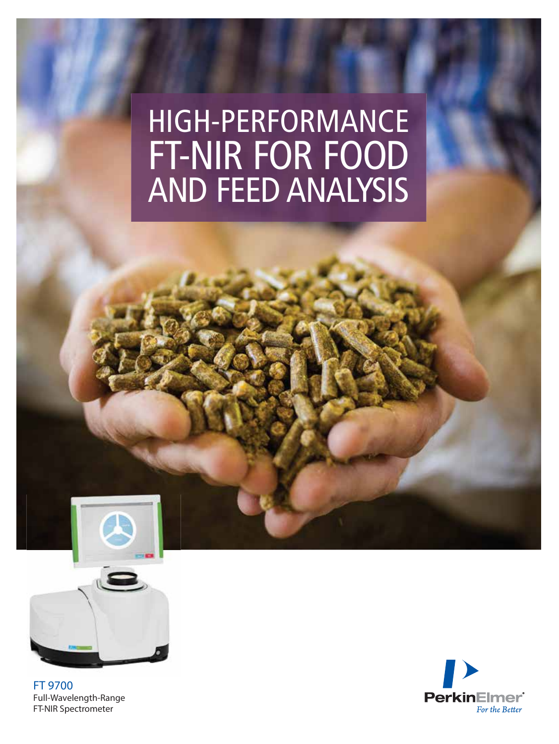# HIGH-PERFORMANCE FT-NIR FOR FOOD AND FEED ANALYSIS



**FT 9700** Full-Wavelength-Range FT-NIR Spectrometer

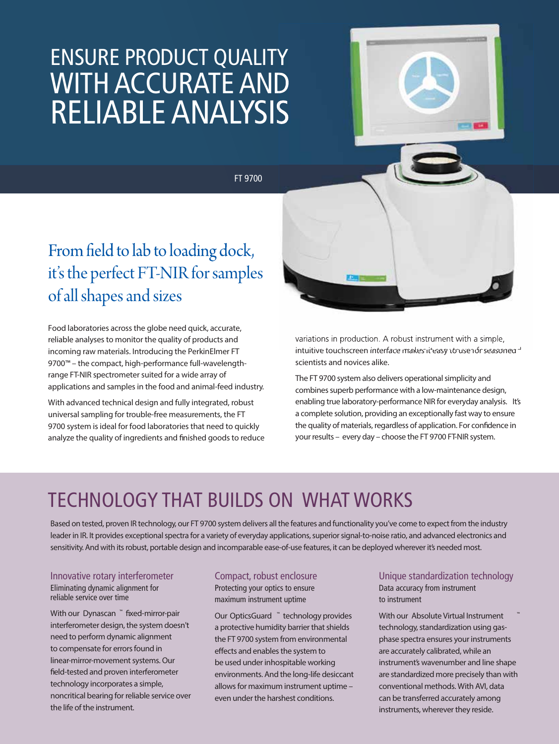## ENSURE PRODUCT QUALITY WITH ACCURATE AND RELIABLE ANALYSIS

FT 9700



From field to lab to loading dock, it's the perfect FT-NIR for samples of all shapes and sizes

Food laboratories across the globe need quick, accurate, reliable analyses to monitor the quality of products and incoming raw materials. Introducing the PerkinElmer FT 9700™ – the compact, high-performance full-wavelengthrange FT-NIR spectrometer suited for a wide array of applications and samples in the food and animal-feed industry.

With advanced technical design and fully integrated, robust universal sampling for trouble-free measurements, the FT 9700 system is ideal for food laboratories that need to quickly analyze the quality of ingredients and finished goods to reduce

variations in production. A robust instrument with a simple, intuitive touchscreen interface makes it easy to use of seasoned scientists and novices alike.

The FT 9700 system also delivers operational simplicity and combines superb performance with a low-maintenance design, enabling true laboratory-performance NIR for everyday analysis. It's a complete solution, providing an exceptionally fast way to ensure the quality of materials, regardless of application. For confidence in your results – *every day* – choose the FT 9700 FT-NIR system.

### TECHNOLOGY THAT BUILDS ON WHAT WORKS

Based on tested, proven IR technology, our FT 9700 system delivers all the features and functionality you've come to expect from the industry leader in IR. It provides exceptional spectra for a variety of everyday applications, superior signal-to-noise ratio, and advanced electronics and sensitivity. And with its robust, portable design and incomparable ease-of-use features, it can be deployed wherever it's needed most.

Innovative rotary interferometer Eliminating dynamic alignment for reliable service over time

With our **Dynascan ™** fixed-mirror-pair interferometer design, the system doesn't need to perform dynamic alignment to compensate for errors found in linear-mirror-movement systems. Our field-tested and proven interferometer technology incorporates a simple, noncritical bearing for reliable service over the life of the instrument.

#### Compact, robust enclosure

Protecting your optics to ensure maximum instrument uptime

Our **OpticsGuard ™** technology provides a protective humidity barrier that shields the FT 9700 system from environmental effects and enables the system to be used under inhospitable working environments. And the long-life desiccant allows for maximum instrument uptime – even under the harshest conditions.

Unique standardization technology Data accuracy from instrument to instrument

**With our Absolute Virtual Instrument** technology, standardization using gasphase spectra ensures your instruments are accurately calibrated, while an instrument's wavenumber and line shape are standardized more precisely than with conventional methods. With AVI, data can be transferred accurately among instruments, wherever they reside.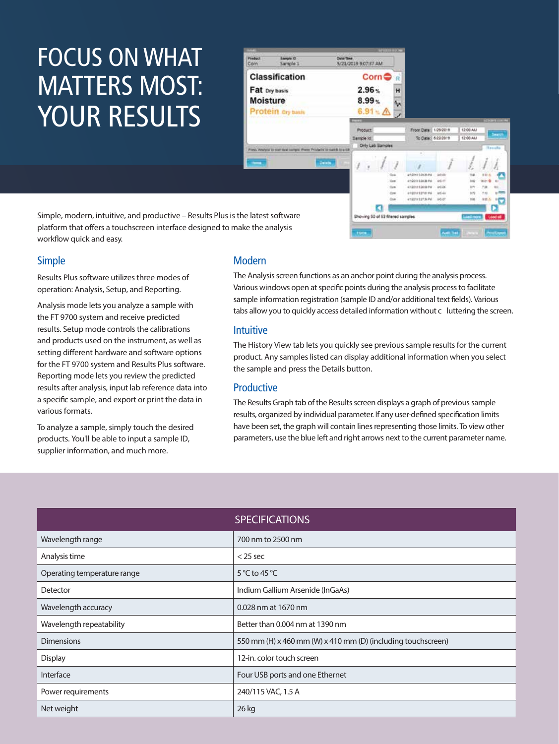# FOCUS ONWHAT MATTERS MOST: YOUR RESULTS

|                                 |                                                                                 |                   | <b>Maria 100</b>                  |                           |                                      |                     |                        |            |                       |  |
|---------------------------------|---------------------------------------------------------------------------------|-------------------|-----------------------------------|---------------------------|--------------------------------------|---------------------|------------------------|------------|-----------------------|--|
| <b>Induct</b><br>cm.            | <b>Sample O</b><br>Sample 1                                                     | <b>Date/Time</b>  | 5/21/2019 9:07:37 AM              |                           |                                      |                     |                        |            |                       |  |
| <b>Classification</b>           |                                                                                 |                   | $\mathsf{Corn} \oplus$            |                           |                                      |                     |                        |            |                       |  |
| Fat Dry basis                   |                                                                                 |                   | $2.96 -$<br>н                     |                           |                                      |                     |                        |            |                       |  |
| <b>Moisture</b>                 |                                                                                 | 8.99%             |                                   | M                         |                                      |                     |                        |            |                       |  |
|                                 | Protein ary basis                                                               |                   | $6.91 \times \triangle$           |                           |                                      |                     |                        |            |                       |  |
| 1. A . B . C . C                |                                                                                 |                   |                                   |                           |                                      |                     |                        |            | <b>SERGINE EDITIN</b> |  |
|                                 |                                                                                 | Product:          |                                   |                           | From Date: 1/29/2019                 |                     | 12:00 AM               |            |                       |  |
|                                 |                                                                                 |                   | Dample ld                         |                           | To Date: 622/2019                    |                     | 12:00 AM               |            | Search                |  |
|                                 | less, "Amalyzia" to start land barrana. Proces Tritchatte' bir marketi to a chi |                   | Only Lab Samples                  |                           |                                      |                     |                        |            | Hassetts              |  |
| $15 - 15$                       |                                                                                 | Details           |                                   |                           | ٠                                    |                     | ž                      |            |                       |  |
|                                 |                                                                                 |                   |                                   | $0 - 4$                   | endors i passare                     | $400 - 400$         | 141                    | 8 St +     |                       |  |
|                                 |                                                                                 |                   |                                   | <b>Gun</b><br><b>Cost</b> | 4/10/2010 0:24:36 PM<br>4120122-0099 | post<br><b>UCCK</b> | 1.62<br><b>EPI</b>     | 关于 也<br>+m |                       |  |
|                                 |                                                                                 |                   |                                   | Cost                      | 41001212731994                       | 30544               | 3.72                   | 5.12       |                       |  |
|                                 |                                                                                 |                   |                                   | Com                       | 41221912734790                       | ucat                | h.int                  | 111 4      | P.                    |  |
|                                 |                                                                                 |                   |                                   |                           |                                      |                     |                        |            |                       |  |
| latest software<br>the analysis |                                                                                 |                   | Showing 50 of 53 filtered samples |                           |                                      |                     | Link more !<br>Load at |            |                       |  |
|                                 |                                                                                 | <b>Stationary</b> |                                   |                           |                                      | Avenue Treat        |                        |            |                       |  |
|                                 |                                                                                 |                   |                                   |                           |                                      |                     |                        |            |                       |  |

Simple, modern, intuitive, and productive – Results Plus is the platform that offers a touchscreen interface designed to make workflow quick and easy.

#### **Simple**

Results Plus software utilizes three modes of operation: Analysis, Setup, and Reporting.

Analysis mode lets you analyze a sample with the FT 9700 system and receive predicted results. Setup mode controls the calibrations and products used on the instrument, as well as setting different hardware and software options for the FT 9700 system and Results Plus software. Reporting mode lets you review the predicted results after analysis, input lab reference data into a specific sample, and export or print the data in various formats.

To analyze a sample, simply touch the desired products. You'll be able to input a sample ID, supplier information, and much more.

#### Modern

The Analysis screen functions as an anchor point during the analysis process. Various windows open at specific points during the analysis process to facilitate sample information registration (sample ID and/or additional text fields). Various tabs allow you to quickly access detailed information without c luttering the screen.

#### Intuitive

The History View tab lets you quickly see previous sample results for the current product. Any samples listed can display additional information when you select the sample and press the Details button.

#### Productive

The Results Graph tab of the Results screen displays a graph of previous sample results, organized by individual parameter. If any user-defined specification limits have been set, the graph will contain lines representing those limits. To view other parameters, use the blue left and right arrows next to the current parameter name.

| <b>SPECIFICATIONS</b>                                        |  |  |  |  |
|--------------------------------------------------------------|--|--|--|--|
| 700 nm to 2500 nm                                            |  |  |  |  |
| $<$ 25 sec                                                   |  |  |  |  |
| 5 °C to 45 °C                                                |  |  |  |  |
| Indium Gallium Arsenide (InGaAs)                             |  |  |  |  |
| 0.028 nm at 1670 nm                                          |  |  |  |  |
| Better than 0.004 nm at 1390 nm                              |  |  |  |  |
| 550 mm (H) x 460 mm (W) x 410 mm (D) (including touchscreen) |  |  |  |  |
| 12-in. color touch screen                                    |  |  |  |  |
| Four USB ports and one Ethernet                              |  |  |  |  |
| 240/115 VAC, 1.5 A                                           |  |  |  |  |
| 26 kg                                                        |  |  |  |  |
|                                                              |  |  |  |  |